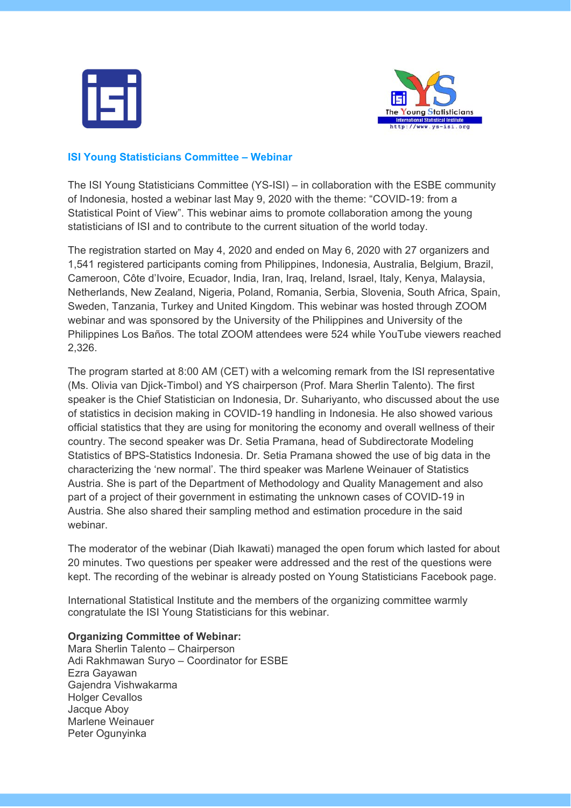



## **ISI Young Statisticians Committee – Webinar**

The ISI Young Statisticians Committee (YS-ISI) – in collaboration with the ESBE community of Indonesia, hosted a webinar last May 9, 2020 with the theme: "COVID-19: from a Statistical Point of View". This webinar aims to promote collaboration among the young statisticians of ISI and to contribute to the current situation of the world today.

The registration started on May 4, 2020 and ended on May 6, 2020 with 27 organizers and 1,541 registered participants coming from Philippines, Indonesia, Australia, Belgium, Brazil, Cameroon, Côte d'Ivoire, Ecuador, India, Iran, Iraq, Ireland, Israel, Italy, Kenya, Malaysia, Netherlands, New Zealand, Nigeria, Poland, Romania, Serbia, Slovenia, South Africa, Spain, Sweden, Tanzania, Turkey and United Kingdom. This webinar was hosted through ZOOM webinar and was sponsored by the University of the Philippines and University of the Philippines Los Baños. The total ZOOM attendees were 524 while YouTube viewers reached 2,326.

The program started at 8:00 AM (CET) with a welcoming remark from the ISI representative (Ms. Olivia van Djick-Timbol) and YS chairperson (Prof. Mara Sherlin Talento). The first speaker is the Chief Statistician on Indonesia, Dr. Suhariyanto, who discussed about the use of statistics in decision making in COVID-19 handling in Indonesia. He also showed various official statistics that they are using for monitoring the economy and overall wellness of their country. The second speaker was Dr. Setia Pramana, head of Subdirectorate Modeling Statistics of BPS-Statistics Indonesia. Dr. Setia Pramana showed the use of big data in the characterizing the 'new normal'. The third speaker was Marlene Weinauer of Statistics Austria. She is part of the Department of Methodology and Quality Management and also part of a project of their government in estimating the unknown cases of COVID-19 in Austria. She also shared their sampling method and estimation procedure in the said webinar.

The moderator of the webinar (Diah Ikawati) managed the open forum which lasted for about 20 minutes. Two questions per speaker were addressed and the rest of the questions were kept. The recording of the webinar is already posted on Young Statisticians Facebook page.

International Statistical Institute and the members of the organizing committee warmly congratulate the ISI Young Statisticians for this webinar.

## **Organizing Committee of Webinar:**

Mara Sherlin Talento – Chairperson Adi Rakhmawan Suryo – Coordinator for ESBE Ezra Gayawan Gajendra Vishwakarma **Holger Cevallos** Jacque Aboy Marlene Weinauer Peter Ogunyinka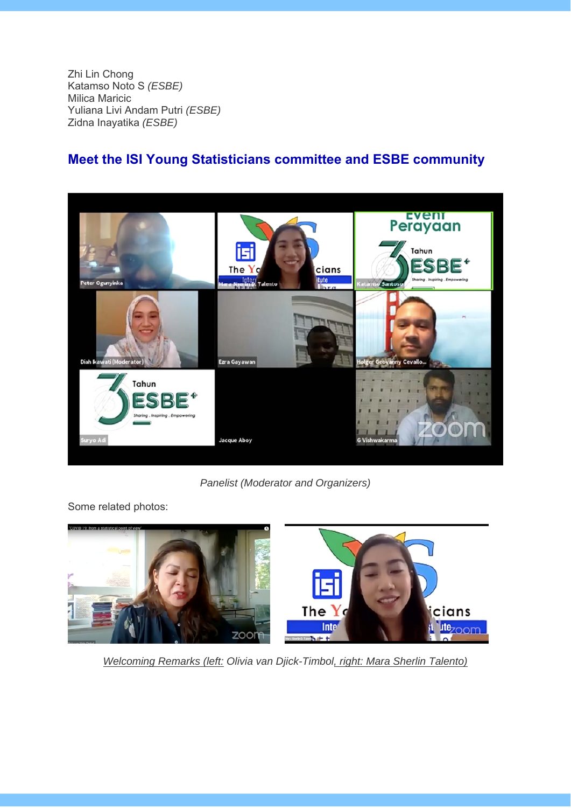Zhi Lin Chong Katamso Noto S *(ESBE)*  Milica Maricic Yuliana Livi Andam Putri *(ESBE)*  Zidna Inayatika *(ESBE)* 

## **Meet the ISI Young Statisticians committee and ESBE community**



*Panelist (Moderator and Organizers)* 

Some related photos:



*Welcoming Remarks (left: Olivia van Djick-Timbol, right: Mara Sherlin Talento)*